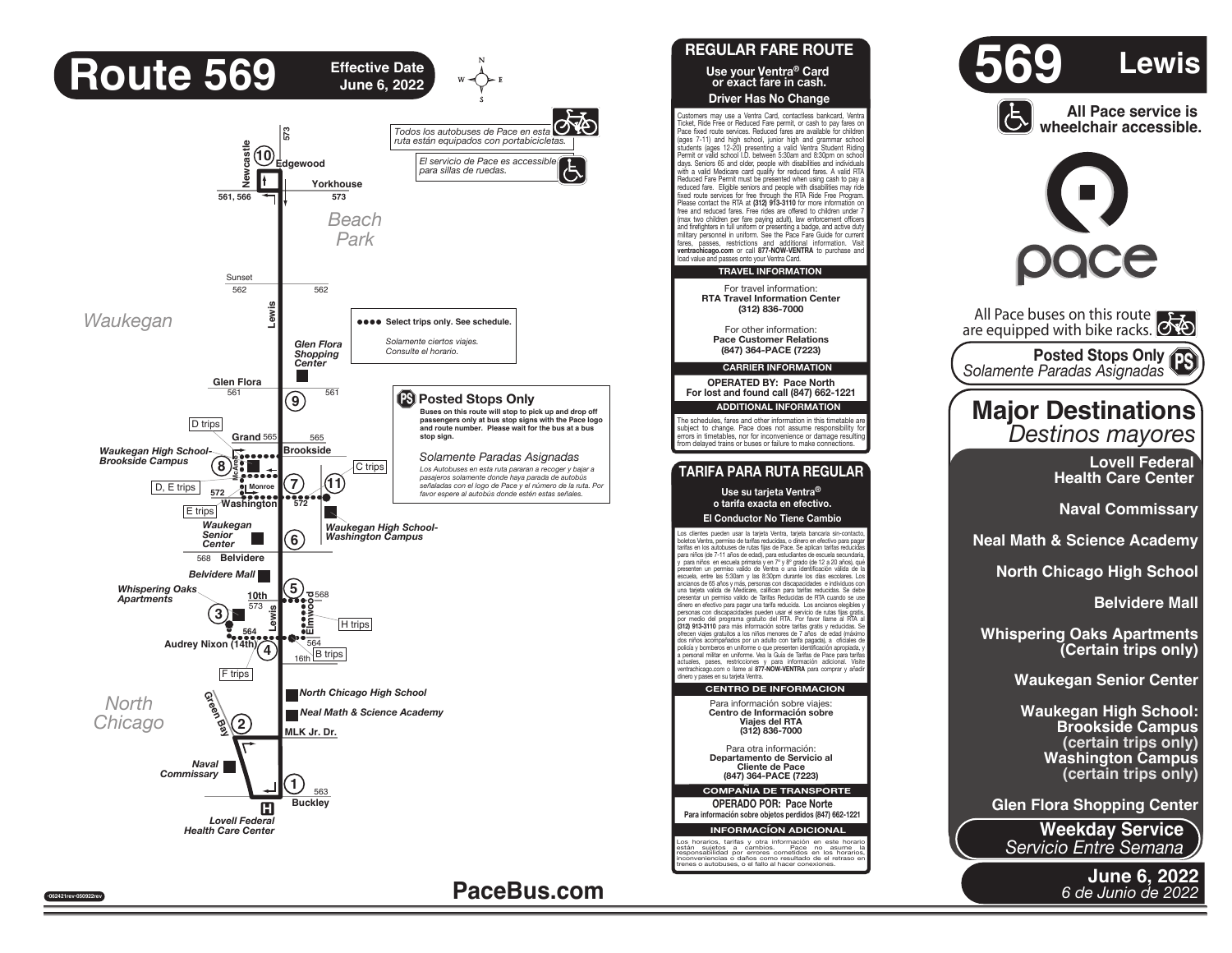